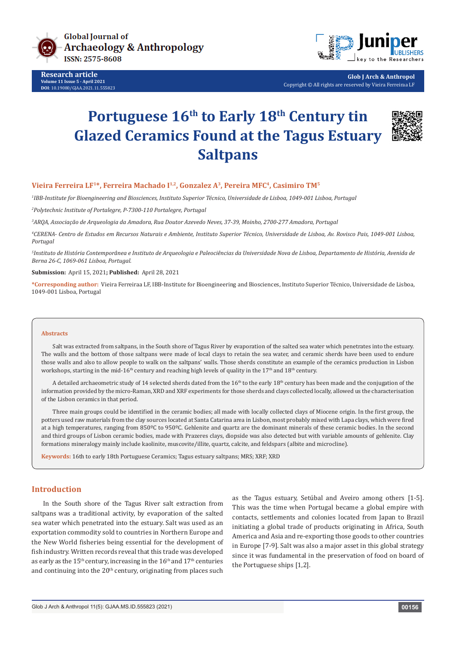

**Research article Volume 11 Issue 5 - April 2021 DOI**: [10.19080/GJAA.2021.11.5558](http://dx.doi.org/10.19080/GJAA.2021.11.555823)23



**Glob J Arch & Anthropol** Copyright © All rights are reserved by Vieira Ferreiraa LF

# Portuguese 16<sup>th</sup> to Early 18<sup>th</sup> Century tin **Glazed Ceramics Found at the Tagus Estuary Saltpans**



# Vieira Ferreira LF<sup>1\*</sup>, Ferreira Machado I<sup>1,2</sup>, Gonzalez A<sup>3</sup>, Pereira MFC<sup>4</sup>, Casimiro TM<sup>5</sup>

*1 IBB-Institute for Bioengineering and Biosciences, Instituto Superior Técnico, Universidade de Lisboa, 1049-001 Lisboa, Portugal 2 Polytechnic Institute of Portalegre, P-7300-110 Portalegre, Portugal*

*3 ARQA, Associação de Arqueologia da Amadora, Rua Doutor Azevedo Neves, 37-39, Moinho, 2700-277 Amadora, Portugal*

*4 CERENA- Centro de Estudos em Recursos Naturais e Ambiente, Instituto Superior Técnico, Universidade de Lisboa, Av. Rovisco Pais, 1049-001 Lisboa, Portugal*

*5 Instituto de História Contemporânea e Instituto de Arqueologia e Paleociências da Universidade Nova de Lisboa, Departamento de História, Avenida de Berna 26-C, 1069-061 Lisboa, Portugal.*

#### **Submission:** April 15, 2021**; Published:** April 28, 2021

**\*Corresponding author:** Vieira Ferreiraa LF, IBB-Institute for Bioengineering and Biosciences, Instituto Superior Técnico, Universidade de Lisboa, 1049-001 Lisboa, Portugal

#### **Abstracts**

Salt was extracted from saltpans, in the South shore of Tagus River by evaporation of the salted sea water which penetrates into the estuary. The walls and the bottom of those saltpans were made of local clays to retain the sea water, and ceramic sherds have been used to endure those walls and also to allow people to walk on the saltpans' walls. Those sherds constitute an example of the ceramics production in Lisbon workshops, starting in the mid-16<sup>th</sup> century and reaching high levels of quality in the 17<sup>th</sup> and 18<sup>th</sup> century.

A detailed archaeometric study of 14 selected sherds dated from the 16<sup>th</sup> to the early 18<sup>th</sup> century has been made and the conjugation of the information provided by the micro-Raman, XRD and XRF experiments for those sherds and clays collected locally, allowed us the characterisation of the Lisbon ceramics in that period.

Three main groups could be identified in the ceramic bodies; all made with locally collected clays of Miocene origin. In the first group, the potters used raw materials from the clay sources located at Santa Catarina area in Lisbon, most probably mixed with Lapa clays, which were fired at a high temperatures, ranging from 850ºC to 950ºC. Gehlenite and quartz are the dominant minerals of these ceramic bodies. In the second and third groups of Lisbon ceramic bodies, made with Prazeres clays, diopside was also detected but with variable amounts of gehlenite. Clay formations mineralogy mainly include kaolinite, muscovite/illite, quartz, calcite, and feldspars (albite and microcline).

**Keywords:** 16th to early 18th Portuguese Ceramics; Tagus estuary saltpans; MRS; XRF; XRD

## **Introduction**

In the South shore of the Tagus River salt extraction from saltpans was a traditional activity, by evaporation of the salted sea water which penetrated into the estuary. Salt was used as an exportation commodity sold to countries in Northern Europe and the New World fisheries being essential for the development of fish industry. Written records reveal that this trade was developed as early as the 15<sup>th</sup> century, increasing in the  $16<sup>th</sup>$  and  $17<sup>th</sup>$  centuries and continuing into the  $20<sup>th</sup>$  century, originating from places such

as the Tagus estuary, Setúbal and Aveiro among others [1-5]. This was the time when Portugal became a global empire with contacts, settlements and colonies located from Japan to Brazil initiating a global trade of products originating in Africa, South America and Asia and re-exporting those goods to other countries in Europe [7-9]. Salt was also a major asset in this global strategy since it was fundamental in the preservation of food on board of the Portuguese ships [1,2].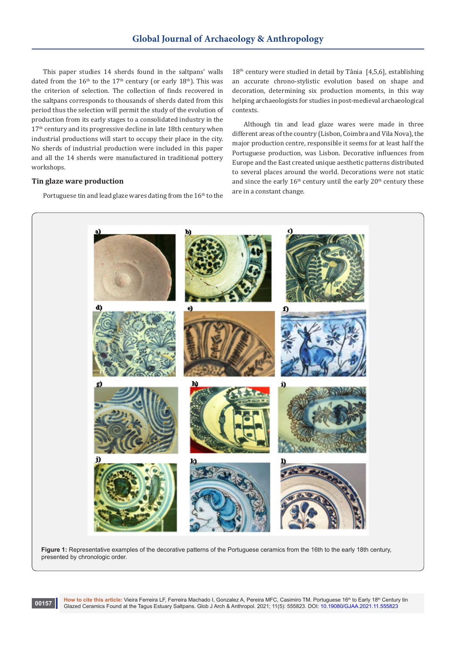This paper studies 14 sherds found in the saltpans' walls dated from the  $16<sup>th</sup>$  to the  $17<sup>th</sup>$  century (or early  $18<sup>th</sup>$ ). This was the criterion of selection. The collection of finds recovered in the saltpans corresponds to thousands of sherds dated from this period thus the selection will permit the study of the evolution of production from its early stages to a consolidated industry in the 17<sup>th</sup> century and its progressive decline in late 18th century when industrial productions will start to occupy their place in the city. No sherds of industrial production were included in this paper and all the 14 sherds were manufactured in traditional pottery workshops.

# **Tin glaze ware production**

Portuguese tin and lead glaze wares dating from the 16<sup>th</sup> to the

 $18<sup>th</sup>$  century were studied in detail by Tânia [4,5,6], establishing an accurate chrono-stylistic evolution based on shape and decoration, determining six production moments, in this way helping archaeologists for studies in post-medieval archaeological contexts.

Although tin and lead glaze wares were made in three different areas of the country (Lisbon, Coimbra and Vila Nova), the major production centre, responsible it seems for at least half the Portuguese production, was Lisbon. Decorative influences from Europe and the East created unique aesthetic patterns distributed to several places around the world. Decorations were not static and since the early  $16<sup>th</sup>$  century until the early  $20<sup>th</sup>$  century these are in a constant change.



Figure 1: Representative examples of the decorative patterns of the Portuguese ceramics from the 16th to the early 18th century, presented by chronologic order.

How to cite this article: Vieira Ferreira LF, Ferreira Machado I, Gonzalez A, Pereira MFC, Casimiro TM. Portuguese 16<sup>th</sup> to Early 18<sup>th</sup> Century tin Glazed Ceramics Found at the Tagus Estuary Saltpans. Glob J Arch & Anthropol. 2021; 11(5): 555823. DOI: [10.19080/GJAA.2021.11.5558](http://dx.doi.org/10.19080/GJAA.2021.11.555823)23 **00157**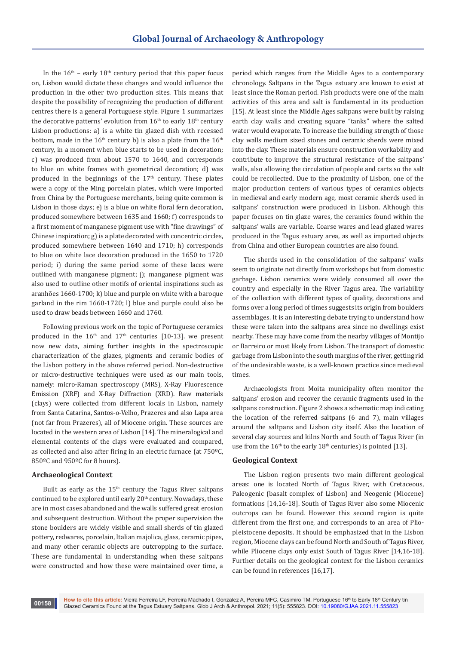In the  $16<sup>th</sup>$  – early  $18<sup>th</sup>$  century period that this paper focus on, Lisbon would dictate these changes and would influence the production in the other two production sites. This means that despite the possibility of recognizing the production of different centres there is a general Portuguese style. Figure 1 summarizes the decorative patterns' evolution from  $16<sup>th</sup>$  to early  $18<sup>th</sup>$  century Lisbon productions: a) is a white tin glazed dish with recessed bottom, made in the  $16<sup>th</sup>$  century b) is also a plate from the  $16<sup>th</sup>$ century, in a moment when blue starts to be used in decoration; c) was produced from about 1570 to 1640, and corresponds to blue on white frames with geometrical decoration; d) was produced in the beginnings of the  $17<sup>th</sup>$  century. These plates were a copy of the Ming porcelain plates, which were imported from China by the Portuguese merchants, being quite common is Lisbon in those days; e) is a blue on white floral fern decoration, produced somewhere between 1635 and 1660; f) corresponds to a first moment of manganese pigment use with "fine drawings" of Chinese inspiration; g) is a plate decorated with concentric circles, produced somewhere between 1640 and 1710; h) corresponds to blue on white lace decoration produced in the 1650 to 1720 period; i) during the same period some of these laces were outlined with manganese pigment; j); manganese pigment was also used to outline other motifs of oriental inspirations such as aranhões 1660-1700; k) blue and purple on white with a baroque garland in the rim 1660-1720; l) blue and purple could also be used to draw beads between 1660 and 1760.

Following previous work on the topic of Portuguese ceramics produced in the  $16<sup>th</sup>$  and  $17<sup>th</sup>$  centuries [10-13]. we present now new data, aiming further insights in the spectroscopic characterization of the glazes, pigments and ceramic bodies of the Lisbon pottery in the above referred period. Non-destructive or micro-destructive techniques were used as our main tools, namely: micro-Raman spectroscopy (MRS), X-Ray Fluorescence Emission (XRF) and X-Ray Diffraction (XRD). Raw materials (clays) were collected from different locals in Lisbon, namely from Santa Catarina, Santos-o-Velho, Prazeres and also Lapa area (not far from Prazeres), all of Miocene origin. These sources are located in the western area of Lisbon [14]. The mineralogical and elemental contents of the clays were evaluated and compared, as collected and also after firing in an electric furnace (at 750ºC, 850ºC and 950ºC for 8 hours).

## **Archaeological Context**

Built as early as the  $15<sup>th</sup>$  century the Tagus River saltpans continued to be explored until early 20<sup>th</sup> century. Nowadays, these are in most cases abandoned and the walls suffered great erosion and subsequent destruction. Without the proper supervision the stone boulders are widely visible and small sherds of tin glazed pottery, redwares, porcelain, Italian majolica, glass, ceramic pipes, and many other ceramic objects are outcropping to the surface. These are fundamental in understanding when these saltpans were constructed and how these were maintained over time, a period which ranges from the Middle Ages to a contemporary chronology. Saltpans in the Tagus estuary are known to exist at least since the Roman period. Fish products were one of the main activities of this area and salt is fundamental in its production [15]. At least since the Middle Ages saltpans were built by raising earth clay walls and creating square "tanks" where the salted water would evaporate. To increase the building strength of those clay walls medium sized stones and ceramic sherds were mixed into the clay. These materials ensure construction workability and contribute to improve the structural resistance of the saltpans' walls, also allowing the circulation of people and carts so the salt could be recollected. Due to the proximity of Lisbon, one of the major production centers of various types of ceramics objects in medieval and early modern age, most ceramic sherds used in saltpans' construction were produced in Lisbon. Although this paper focuses on tin glaze wares, the ceramics found within the saltpans' walls are variable. Coarse wares and lead glazed wares produced in the Tagus estuary area, as well as imported objects from China and other European countries are also found.

The sherds used in the consolidation of the saltpans' walls seem to originate not directly from workshops but from domestic garbage. Lisbon ceramics were widely consumed all over the country and especially in the River Tagus area. The variability of the collection with different types of quality, decorations and forms over a long period of times suggests its origin from boulders assemblages. It is an interesting debate trying to understand how these were taken into the saltpans area since no dwellings exist nearby. These may have come from the nearby villages of Montijo or Barreiro or most likely from Lisbon. The transport of domestic garbage from Lisbon into the south margins of the river, getting rid of the undesirable waste, is a well-known practice since medieval times.

Archaeologists from Moita municipality often monitor the saltpans' erosion and recover the ceramic fragments used in the saltpans construction. Figure 2 shows a schematic map indicating the location of the referred saltpans (6 and 7), main villages around the saltpans and Lisbon city itself. Also the location of several clay sources and kilns North and South of Tagus River (in use from the  $16<sup>th</sup>$  to the early  $18<sup>th</sup>$  centuries) is pointed [13].

## **Geological Context**

The Lisbon region presents two main different geological areas: one is located North of Tagus River, with Cretaceous, Paleogenic (basalt complex of Lisbon) and Neogenic (Miocene) formations [14,16-18]. South of Tagus River also some Miocenic outcrops can be found. However this second region is quite different from the first one, and corresponds to an area of Pliopleistocene deposits. It should be emphasized that in the Lisbon region, Miocene clays can be found North and South of Tagus River, while Pliocene clays only exist South of Tagus River [14,16-18]. Further details on the geological context for the Lisbon ceramics can be found in references [16,17].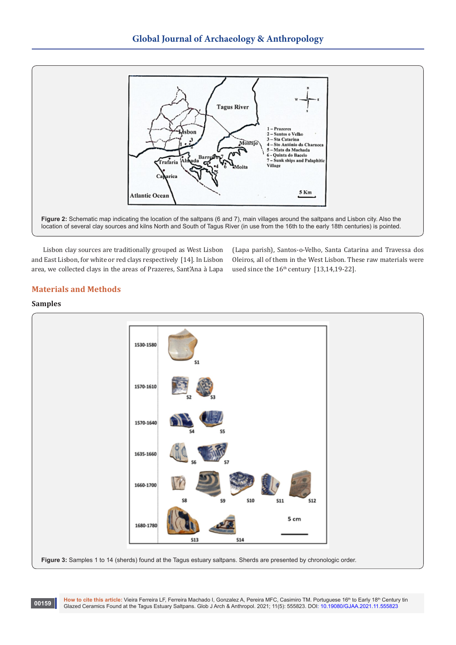

Lisbon clay sources are traditionally grouped as West Lisbon and East Lisbon, for white or red clays respectively [14]. In Lisbon area, we collected clays in the areas of Prazeres, Sant'Ana à Lapa (Lapa parish), Santos-o-Velho, Santa Catarina and Travessa dos Oleiros, all of them in the West Lisbon. These raw materials were used since the  $16<sup>th</sup>$  century [13,14,19-22].

# **Materials and Methods**

## **Samples**

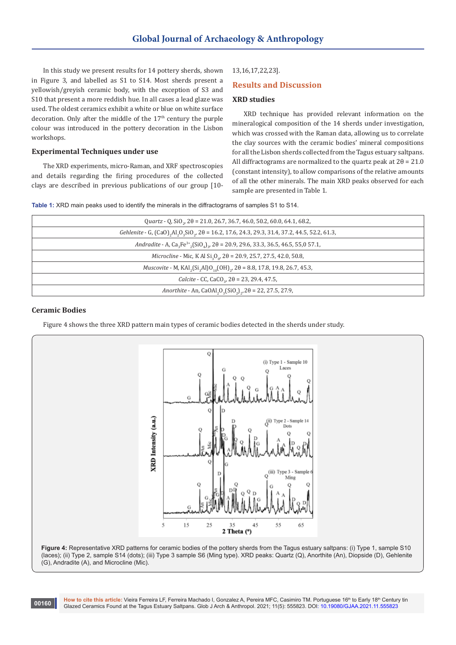In this study we present results for 14 pottery sherds, shown in Figure 3, and labelled as S1 to S14. Most sherds present a yellowish/greyish ceramic body, with the exception of S3 and S10 that present a more reddish hue. In all cases a lead glaze was used. The oldest ceramics exhibit a white or blue on white surface decoration. Only after the middle of the  $17<sup>th</sup>$  century the purple colour was introduced in the pottery decoration in the Lisbon workshops.

## **Experimental Techniques under use**

The XRD experiments, micro-Raman, and XRF spectroscopies and details regarding the firing procedures of the collected clays are described in previous publications of our group [10-

## 13,16,17,22,23].

## **Results and Discussion**

# **XRD studies**

XRD technique has provided relevant information on the mineralogical composition of the 14 sherds under investigation, which was crossed with the Raman data, allowing us to correlate the clay sources with the ceramic bodies' mineral compositions for all the Lisbon sherds collected from the Tagus estuary saltpans. All diffractograms are normalized to the quartz peak at  $2\theta = 21.0$ (constant intensity), to allow comparisons of the relative amounts of all the other minerals. The main XRD peaks observed for each sample are presented in Table 1.

**Table 1:** XRD main peaks used to identify the minerals in the diffractograms of samples S1 to S14.

| Quartz - Q, SiO <sub>.</sub> , $2\theta$ = 21.0, 26.7, 36.7, 46.0, 50.2, 60.0, 64.1, 68.2,                                                    |
|-----------------------------------------------------------------------------------------------------------------------------------------------|
| Gehlenite - G, (CaO), Al, O, SiO,, 20 = 16.2, 17.6, 24.3, 29.3, 31.4, 37.2, 44.5, 52.2, 61.3,                                                 |
| Andradite - A, Ca <sub>2</sub> Fe <sup>3+</sup> <sub>2</sub> (SiO <sub>4</sub> ) <sub>2</sub> , 20 = 20.9, 29.6, 33.3, 36.5, 46.5, 55,0 57.1, |
| <i>Microcline</i> - Mic, K Al $Si_2O_0$ , 20 = 20.9, 25.7, 27.5, 42.0, 50.8,                                                                  |
| <i>Muscovite</i> - M, KAI <sub>2</sub> (Si <sub>3</sub> AI)O <sub>10</sub> (OH) <sub>2</sub> , 2 $\theta$ = 8.8, 17.8, 19.8, 26.7, 45.3,      |
| <i>Calcite</i> - CC, CaCO <sub>2</sub> , $2\theta = 23$ , 29.4, 47.5,                                                                         |
| Anorthite - An, CaOAl <sub>2</sub> O <sub>3</sub> (SiO <sub>2</sub> ) <sub>2</sub> , 2 $\theta$ = 22, 27.5, 27.9,                             |
|                                                                                                                                               |

## **Ceramic Bodies**

**00160**

Figure 4 shows the three XRD pattern main types of ceramic bodies detected in the sherds under study.



**Figure 4:** Representative XRD patterns for ceramic bodies of the pottery sherds from the Tagus estuary saltpans: (i) Type 1, sample S10 (laces); (ii) Type 2, sample S14 (dots); (iii) Type 3 sample S6 (Ming type). XRD peaks: Quartz (Q), Anorthite (An), Diopside (D), Gehlenite (G), Andradite (A), and Microcline (Mic).

How to cite this article: Vieira Ferreira LF, Ferreira Machado I, Gonzalez A, Pereira MFC, Casimiro TM. Portuguese 16<sup>th</sup> to Early 18<sup>th</sup> Century tin Glazed Ceramics Found at the Tagus Estuary Saltpans. Glob J Arch & Anthropol. 2021; 11(5): 555823. DOI: [10.19080/GJAA.2021.11.5558](http://dx.doi.org/10.19080/GJAA.2021.11.555823)23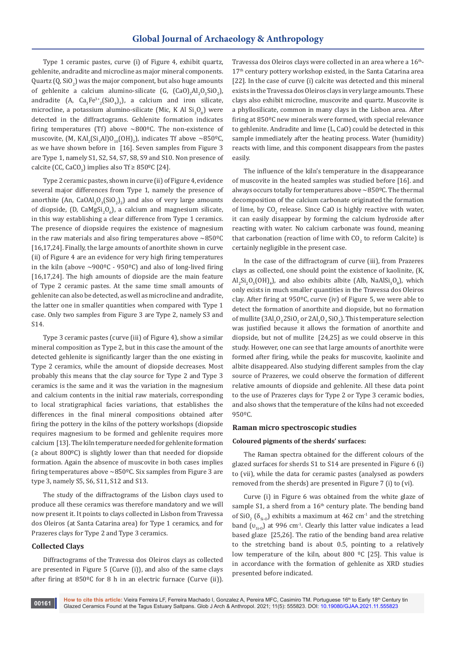Type 1 ceramic pastes, curve (i) of Figure 4, exhibit quartz, gehlenite, andradite and microcline as major mineral components. Quartz (Q, SiO $_2$ ) was the major component, but also huge amounts of gehlenite a calcium alumino-silicate (G,  $(GaO)_2Al_2O_3SiO_2$ ), andradite (A,  $Ca_3Fe^{3+}(SiO_4)_3$ ), a calcium and iron silicate, microcline, a potassium alumino-silicate (Mic, K Al  $\mathrm{Si}_3\mathrm{O}_8$ ) were detected in the diffractograms. Gehlenite formation indicates firing temperatures (Tf) above  $\sim 800^{\circ}$ C. The non-existence of muscovite, (M, KAI<sub>2</sub>(Si<sub>3</sub>AI)O<sub>10</sub>(OH)<sub>2</sub>), indicates Tf above ~850ºC, as we have shown before in [16]. Seven samples from Figure 3 are Type 1, namely S1, S2, S4, S7, S8, S9 and S10. Non presence of  $cal$ calcite (CC, CaCO<sub>3</sub>) implies also Tf ≥ 850ºC [24].

Type 2 ceramic pastes, shown in curve (ii) of Figure 4, evidence several major differences from Type 1, namely the presence of anorthite (An,  $CaOAI_{2}O_{3}(SiO_{2})_{2}$ ) and also of very large amounts of diopside, (D, CaMgSi $_2$ O<sub>6</sub>), a calcium and magnesium silicate, in this way establishing a clear difference from Type 1 ceramics. The presence of diopside requires the existence of magnesium in the raw materials and also firing temperatures above  $\sim$ 850 $^{\circ}$ C [16,17,24]. Finally, the large amounts of anorthite shown in curve (ii) of Figure 4 are an evidence for very high firing temperatures in the kiln (above  $\sim$ 900°C - 950°C) and also of long-lived firing [16,17,24]. The high amounts of diopside are the main feature of Type 2 ceramic pastes. At the same time small amounts of gehlenite can also be detected, as well as microcline and andradite, the latter one in smaller quantities when compared with Type 1 case. Only two samples from Figure 3 are Type 2, namely S3 and S14.

Type 3 ceramic pastes (curve (iii) of Figure 4), show a similar mineral composition as Type 2, but in this case the amount of the detected gehlenite is significantly larger than the one existing in Type 2 ceramics, while the amount of diopside decreases. Most probably this means that the clay source for Type 2 and Type 3 ceramics is the same and it was the variation in the magnesium and calcium contents in the initial raw materials, corresponding to local stratigraphical facies variations, that establishes the differences in the final mineral compositions obtained after firing the pottery in the kilns of the pottery workshops (diopside requires magnesium to be formed and gehlenite requires more calcium [13]. The kiln temperature needed for gehlenite formation (≥ about 800ºC) is slightly lower than that needed for diopside formation. Again the absence of muscovite in both cases implies firing temperatures above ~850ºC. Six samples from Figure 3 are type 3, namely S5, S6, S11, S12 and S13.

The study of the diffractograms of the Lisbon clays used to produce all these ceramics was therefore mandatory and we will now present it. It points to clays collected in Lisbon from Travessa dos Oleiros (at Santa Catarina area) for Type 1 ceramics, and for Prazeres clays for Type 2 and Type 3 ceramics.

## **Collected Clays**

Diffractograms of the Travessa dos Oleiros clays as collected are presented in Figure 5 (Curve (i)), and also of the same clays after firing at 850ºC for 8 h in an electric furnace (Curve (ii)). Travessa dos Oleiros clays were collected in an area where a 16<sup>th</sup>-17<sup>th</sup> century pottery workshop existed, in the Santa Catarina area [22]. In the case of curve (i) calcite was detected and this mineral exists in the Travessa dos Oleiros clays in very large amounts. These clays also exhibit microcline, muscovite and quartz. Muscovite is a phyllosilicate, common in many clays in the Lisbon area. After firing at 850ºC new minerals were formed, with special relevance to gehlenite. Andradite and lime (L, CaO) could be detected in this sample immediately after the heating process. Water (humidity) reacts with lime, and this component disappears from the pastes easily.

The influence of the kiln's temperature in the disappearance of muscovite in the heated samples was studied before [16]. and always occurs totally for temperatures above ~850ºC. The thermal decomposition of the calcium carbonate originated the formation of lime, by  $\mathsf{CO}_2$  release. Since CaO is highly reactive with water, it can easily disappear by forming the calcium hydroxide after reacting with water. No calcium carbonate was found, meaning that carbonation (reaction of lime with  $\mathsf{CO}_2$  to reform Calcite) is certainly negligible in the present case.

In the case of the diffractogram of curve (iii), from Prazeres clays as collected, one should point the existence of kaolinite, (K,  $\text{Al}_2\text{Si}_2\text{O}_5(\text{OH})_4$ ), and also exhibits albite (Alb, NaAl $\text{Si}_3\text{O}_8$ ), which only exists in much smaller quantities in the Travessa dos Oleiros clay. After firing at 950ºC, curve (iv) of Figure 5, we were able to detect the formation of anorthite and diopside, but no formation of mullite (3Al<sub>2</sub>O<sub>3</sub> 2SiO<sub>2</sub> or 2Al<sub>2</sub>O<sub>3</sub> SiO<sub>2</sub>). This temperature selection was justified because it allows the formation of anorthite and diopside, but not of mullite [24,25] as we could observe in this study. However, one can see that large amounts of anorthite were formed after firing, while the peaks for muscovite, kaolinite and albite disappeared. Also studying different samples from the clay source of Prazeres, we could observe the formation of different relative amounts of diopside and gehlenite. All these data point to the use of Prazeres clays for Type 2 or Type 3 ceramic bodies, and also shows that the temperature of the kilns had not exceeded 950ºC.

#### **Raman micro spectroscopic studies**

## **Coloured pigments of the sherds' surfaces:**

The Raman spectra obtained for the different colours of the glazed surfaces for sherds S1 to S14 are presented in Figure 6 (i) to (vii), while the data for ceramic pastes (analysed as powders removed from the sherds) are presented in Figure 7 (i) to (vi).

Curve (i) in Figure 6 was obtained from the white glaze of sample S1, a sherd from a 16<sup>th</sup> century plate. The bending band of SiO<sub>2</sub> ( $\delta_{\rm Si-O}$ ) exhibits a maximum at 462 cm<sup>-1</sup> and the stretching band ( $v_{\rm{eq}}$ ) at 996 cm<sup>-1</sup>. Clearly this latter value indicates a lead based glaze [25,26]. The ratio of the bending band area relative to the stretching band is about 0.5, pointing to a relatively low temperature of the kiln, about 800 °C [25]. This value is in accordance with the formation of gehlenite as XRD studies presented before indicated.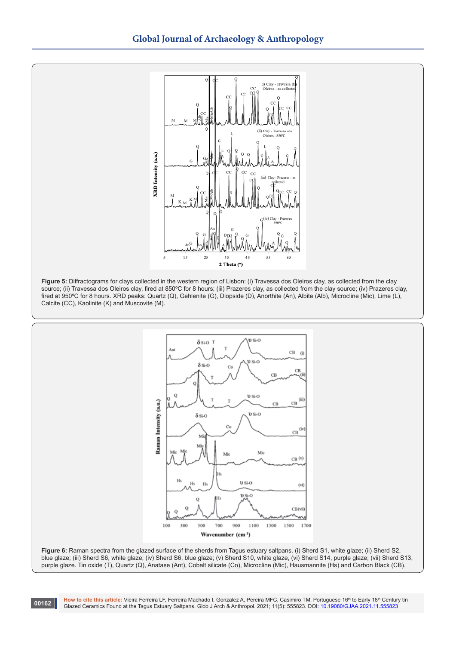



**Figure 5:** Diffractograms for clays collected in the western region of Lisbon: (i) Travessa dos Oleiros clay, as collected from the clay source; (ii) Travessa dos Oleiros clay, fired at 850ºC for 8 hours; (iii) Prazeres clay, as collected from the clay source; (iv) Prazeres clay, fired at 950ºC for 8 hours. XRD peaks: Quartz (Q), Gehlenite (G), Diopside (D), Anorthite (An), Albite (Alb), Microcline (Mic), Lime (L), Calcite (CC), Kaolinite (K) and Muscovite (M).



**Figure 6:** Raman spectra from the glazed surface of the sherds from Tagus estuary saltpans. (i) Sherd S1, white glaze; (ii) Sherd S2, blue glaze; (iii) Sherd S6, white glaze; (iv) Sherd S6, blue glaze; (v) Sherd S10, white glaze, (vi) Sherd S14, purple glaze; (vii) Sherd S13, purple glaze. Tin oxide (T), Quartz (Q), Anatase (Ant), Cobalt silicate (Co), Microcline (Mic), Hausmannite (Hs) and Carbon Black (CB).

How to cite this article: Vieira Ferreira LF, Ferreira Machado I, Gonzalez A, Pereira MFC, Casimiro TM. Portuguese 16<sup>th</sup> to Early 18<sup>th</sup> Century tin Glazed Ceramics Found at the Tagus Estuary Saltpans. Glob J Arch & Anthropol. 2021; 11(5): 555823. DOI: [10.19080/GJAA.2021.11.5558](http://dx.doi.org/10.19080/GJAA.2021.11.555823)23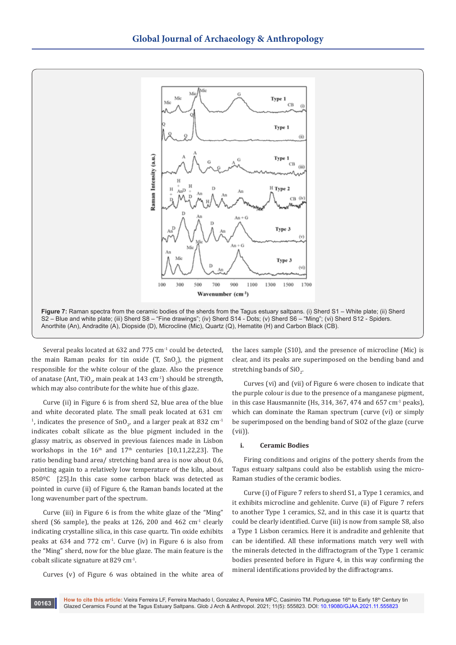

Several peaks located at 632 and 775 cm<sup>-1</sup> could be detected, the main Raman peaks for tin oxide  $(T, SnO<sub>2</sub>)$ , the pigment responsible for the white colour of the glaze. Also the presence of anatase (Ant, TiO<sub>2</sub>, main peak at 143 cm<sup>-1</sup>) should be strength, which may also contribute for the white hue of this glaze.

Curve (ii) in Figure 6 is from sherd S2, blue area of the blue and white decorated plate. The small peak located at 631 cm-<sup>1</sup>, indicates the presence of SnO<sub>2</sub>, and a larger peak at 832  $\text{cm}^{\text{-1}}$ indicates cobalt silicate as the blue pigment included in the glassy matrix, as observed in previous faiences made in Lisbon workshops in the  $16<sup>th</sup>$  and  $17<sup>th</sup>$  centuries [10,11,22,23]. The ratio bending band area/ stretching band area is now about 0.6, pointing again to a relatively low temperature of the kiln, about 850ºC [25].In this case some carbon black was detected as pointed in curve (ii) of Figure 6, the Raman bands located at the long wavenumber part of the spectrum.

Curve (iii) in Figure 6 is from the white glaze of the "Ming" sherd (S6 sample), the peaks at 126, 200 and 462  $cm<sup>-1</sup>$  clearly indicating crystalline silica, in this case quartz. Tin oxide exhibits peaks at  $634$  and  $772 \text{ cm}^3$ . Curve (iv) in Figure 6 is also from the "Ming" sherd, now for the blue glaze. The main feature is the cobalt silicate signature at 829 cm-1.

Curves (v) of Figure 6 was obtained in the white area of

the laces sample (S10), and the presence of microcline (Mic) is clear, and its peaks are superimposed on the bending band and stretching bands of  $\mathop{\rm SiO}\nolimits_2$ .

Curves (vi) and (vii) of Figure 6 were chosen to indicate that the purple colour is due to the presence of a manganese pigment, in this case Hausmannite (Hs, 314, 367, 474 and 657 cm-1 peaks), which can dominate the Raman spectrum (curve (vi) or simply be superimposed on the bending band of SiO2 of the glaze (curve (vii)).

## **i. Ceramic Bodies**

Firing conditions and origins of the pottery sherds from the Tagus estuary saltpans could also be establish using the micro-Raman studies of the ceramic bodies.

Curve (i) of Figure 7 refers to sherd S1, a Type 1 ceramics, and it exhibits microcline and gehlenite. Curve (ii) of Figure 7 refers to another Type 1 ceramics, S2, and in this case it is quartz that could be clearly identified. Curve (iii) is now from sample S8, also a Type 1 Lisbon ceramics. Here it is andradite and gehlenite that can be identified. All these informations match very well with the minerals detected in the diffractogram of the Type 1 ceramic bodies presented before in Figure 4, in this way confirming the mineral identifications provided by the diffractograms.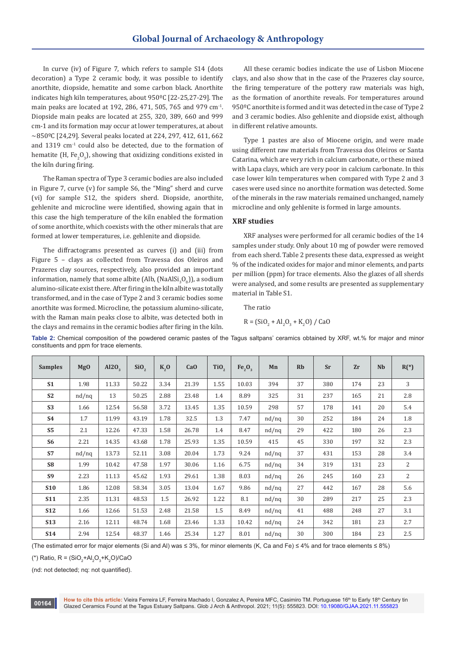In curve (iv) of Figure 7, which refers to sample S14 (dots decoration) a Type 2 ceramic body, it was possible to identify anorthite, diopside, hematite and some carbon black. Anorthite indicates high kiln temperatures, about 950ºC [22-25,27-29]. The main peaks are located at 192, 286, 471, 505, 765 and 979 cm-1. Diopside main peaks are located at 255, 320, 389, 660 and 999 cm-1 and its formation may occur at lower temperatures, at about ~850ºC [24,29]. Several peaks located at 224, 297, 412, 611, 662 and 1319 cm<sup>-1</sup> could also be detected, due to the formation of hematite (H, Fe<sub>2</sub>O<sub>3</sub>), showing that oxidizing conditions existed in the kiln during firing.

The Raman spectra of Type 3 ceramic bodies are also included in Figure 7, curve (v) for sample S6, the "Ming" sherd and curve (vi) for sample S12, the spiders sherd. Diopside, anorthite, gehlenite and microcline were identified, showing again that in this case the high temperature of the kiln enabled the formation of some anorthite, which coexists with the other minerals that are formed at lower temperatures, i.e. gehlenite and diopside.

The diffractograms presented as curves (i) and (iii) from Figure 5 – clays as collected from Travessa dos Oleiros and Prazeres clay sources, respectively, also provided an important information, namely that some albite (Alb, (NaAl $\mathrm{Si}_3\mathrm{O}_8$ )), a sodium alumino-silicate exist there. After firing in the kiln albite was totally transformed, and in the case of Type 2 and 3 ceramic bodies some anorthite was formed. Microcline, the potassium alumino-silicate, with the Raman main peaks close to albite, was detected both in the clays and remains in the ceramic bodies after firing in the kiln.

All these ceramic bodies indicate the use of Lisbon Miocene clays, and also show that in the case of the Prazeres clay source, the firing temperature of the pottery raw materials was high, as the formation of anorthite reveals. For temperatures around 950ºC anorthite is formed and it was detected in the case of Type 2 and 3 ceramic bodies. Also gehlenite and diopside exist, although in different relative amounts.

Type 1 pastes are also of Miocene origin, and were made using different raw materials from Travessa dos Oleiros or Santa Catarina, which are very rich in calcium carbonate, or these mixed with Lapa clays, which are very poor in calcium carbonate. In this case lower kiln temperatures when compared with Type 2 and 3 cases were used since no anorthite formation was detected. Some of the minerals in the raw materials remained unchanged, namely microcline and only gehlenite is formed in large amounts.

# **XRF studies**

XRF analyses were performed for all ceramic bodies of the 14 samples under study. Only about 10 mg of powder were removed from each sherd. Table 2 presents these data, expressed as weight % of the indicated oxides for major and minor elements, and parts per million (ppm) for trace elements. Also the glazes of all sherds were analysed, and some results are presented as supplementary material in Table S1.

The ratio  $R = (SiO<sub>2</sub> + Al<sub>2</sub>O<sub>3</sub> + K<sub>2</sub>O)$  / CaO

| <b>Samples</b> | Mg0      | Al2O <sub>3</sub> | SiO <sub>2</sub> | $K2$ O | CaO   | TiO <sub>2</sub> | Fe <sub>2</sub> O <sub>3</sub> | Mn       | <b>Rb</b> | <b>Sr</b> | Zr  | <b>Nb</b> | $R(*)$         |
|----------------|----------|-------------------|------------------|--------|-------|------------------|--------------------------------|----------|-----------|-----------|-----|-----------|----------------|
| S <sub>1</sub> | 1.98     | 11.33             | 50.22            | 3.34   | 21.39 | 1.55             | 10.03                          | 394      | 37        | 380       | 174 | 23        | 3              |
| S <sub>2</sub> | $nd/$ nq | 13                | 50.25            | 2.88   | 23.48 | 1.4              | 8.89                           | 325      | 31        | 237       | 165 | 21        | 2.8            |
| S <sub>3</sub> | 1.66     | 12.54             | 56.58            | 3.72   | 13.45 | 1.35             | 10.59                          | 298      | 57        | 178       | 141 | 20        | 5.4            |
| <b>S4</b>      | 1.7      | 11.99             | 43.19            | 1.78   | 32.5  | 1.3              | 7.47                           | $nd/$ nq | 30        | 252       | 184 | 24        | 1.8            |
| S <sub>5</sub> | 2.1      | 12.26             | 47.33            | 1.58   | 26.78 | 1.4              | 8.47                           | $nd/$ nq | 29        | 422       | 180 | 26        | 2.3            |
| S <sub>6</sub> | 2.21     | 14.35             | 43.68            | 1.78   | 25.93 | 1.35             | 10.59                          | 415      | 45        | 330       | 197 | 32        | 2.3            |
| <b>S7</b>      | $nd/$ nq | 13.73             | 52.11            | 3.08   | 20.04 | 1.73             | 9.24                           | $nd/$ nq | 37        | 431       | 153 | 28        | 3.4            |
| S <sub>8</sub> | 1.99     | 10.42             | 47.58            | 1.97   | 30.06 | 1.16             | 6.75                           | $nd/$ nq | 34        | 319       | 131 | 23        | $\overline{2}$ |
| S <sub>9</sub> | 2.23     | 11.13             | 45.62            | 1.93   | 29.61 | 1.38             | 8.03                           | $nd/$ nq | 26        | 245       | 160 | 23        | 2              |
| <b>S10</b>     | 1.86     | 12.08             | 58.34            | 3.05   | 13.04 | 1.67             | 9.86                           | $nd/$ nq | 27        | 442       | 167 | 28        | 5.6            |
| <b>S11</b>     | 2.35     | 11.31             | 48.53            | 1.5    | 26.92 | 1.22             | 8.1                            | $nd/$ nq | 30        | 289       | 217 | 25        | 2.3            |
| <b>S12</b>     | 1.66     | 12.66             | 51.53            | 2.48   | 21.58 | 1.5              | 8.49                           | $nd/$ nq | 41        | 488       | 248 | 27        | 3.1            |
| <b>S13</b>     | 2.16     | 12.11             | 48.74            | 1.68   | 23.46 | 1.33             | 10.42                          | $nd/$ nq | 24        | 342       | 181 | 23        | 2.7            |
| <b>S14</b>     | 2.94     | 12.54             | 48.37            | 1.46   | 25.34 | 1.27             | 8.01                           | $nd/$ nq | 30        | 300       | 184 | 23        | 2.5            |

**Table 2:** Chemical composition of the powdered ceramic pastes of the Tagus saltpans' ceramics obtained by XRF, wt.% for major and minor constituents and ppm for trace elements.

(The estimated error for major elements (Si and Al) was ≤ 3%, for minor elements (K, Ca and Fe) ≤ 4% and for trace elements ≤ 8%)

(\*) Ratio, R = (SiO<sub>2</sub>+Al<sub>2</sub>O<sub>3</sub>+K<sub>2</sub>O)/CaO

(nd: not detected; nq: not quantified).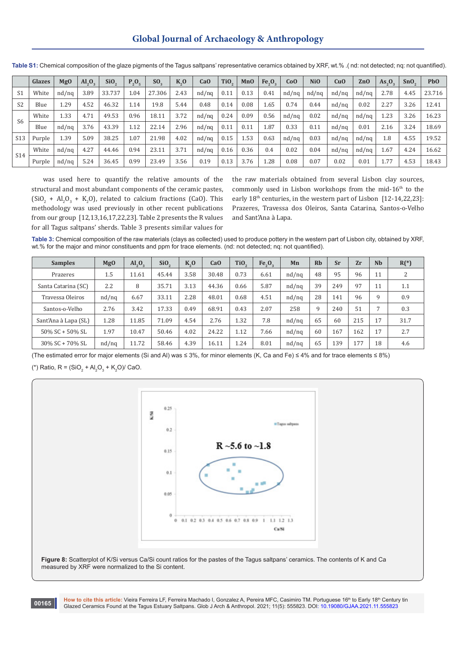# **Global Journal of Archaeology & Anthropology**

|                 | Glazes | Mg0      | AI <sub>2</sub> O <sub>3</sub> | Si <sub>O</sub> | $P_2O_5$ | SO.    | K <sub>0</sub> | CaO      | TiO <sub>2</sub> | MnO  | $Fe_2O_2$ | Co <sub>0</sub> | <b>NiO</b> | CuO      | ZnO      | $As_{2}O_{2}$ | SnO  | P <sub>b</sub> O |
|-----------------|--------|----------|--------------------------------|-----------------|----------|--------|----------------|----------|------------------|------|-----------|-----------------|------------|----------|----------|---------------|------|------------------|
| S1              | White  | $nd/$ ng | 3.89                           | 33.737          | 1.04     | 27.306 | 2.43           | $nd/$ ng | 0.11             | 0.13 | 0.41      | $nd/$ ng        | $nd/$ ng   | $nd/$ ng | $nd/$ ng | 2.78          | 4.45 | 23.716           |
| S <sub>2</sub>  | Blue   | 1.29     | 4.52                           | 46.32           | 1.14     | 19.8   | 5.44           | 0.48     | 0.14             | 0.08 | 1.65      | 0.74            | 0.44       | $nd/$ ng | 0.02     | 2.27          | 3.26 | 12.41            |
| S6              | White  | 1.33     | 4.71                           | 49.53           | 0.96     | 18.11  | 3.72           | $nd/$ ng | 0.24             | 0.09 | 0.56      | $nd/$ ng        | 0.02       | $nd/$ ng | $nd/$ ng | 1.23          | 3.26 | 16.23            |
|                 | Blue   | $nd/$ ng | 3.76                           | 43.39           | 1.12     | 22.14  | 2.96           | $nd/$ ng | 0.11             | 0.11 | 1.87      | 0.33            | 0.11       | $nd/$ ng | 0.01     | 2.16          | 3.24 | 18.69            |
| S <sub>13</sub> | Purple | 1.39     | 5.09                           | 38.25           | 1.07     | 21.98  | 4.02           | $nd/$ ng | 0.15             | 1.53 | 0.63      | $nd/$ ng        | 0.03       | $nd/$ ng | $nd/$ ng | 1.8           | 4.55 | 19.52            |
| S14             | White  | $nd/$ ng | 4.27                           | 44.46           | 0.94     | 23.11  | 3.71           | $nd/$ ng | 0.16             | 0.36 | 0.4       | 0.02            | 0.04       | $nd/$ ng | $nd/$ ng | 1.67          | 4.24 | 16.62            |
|                 | Purple | $nd/$ ng | 5.24                           | 36.45           | 0.99     | 23.49  | 3.56           | 0.19     | 0.13             | 3.76 | 1.28      | 0.08            | 0.07       | 0.02     | 0.01     | 1.77          | 4.53 | 18.43            |

**Table S1:** Chemical composition of the glaze pigments of the Tagus saltpans' representative ceramics obtained by XRF, wt.% .( nd: not detected; nq: not quantified).

was used here to quantify the relative amounts of the structural and most abundant components of the ceramic pastes,  $(SiO<sub>2</sub> + Al<sub>2</sub>O<sub>3</sub> + K<sub>2</sub>O)$ , related to calcium fractions (CaO). This methodology was used previously in other recent publications from our group [12,13,16,17,22,23]. Table 2 presents the R values for all Tagus saltpans' sherds. Table 3 presents similar values for

**00165**

the raw materials obtained from several Lisbon clay sources, commonly used in Lisbon workshops from the mid-16<sup>th</sup> to the early 18<sup>th</sup> centuries, in the western part of Lisbon [12-14,22,23]: Prazeres, Travessa dos Oleiros, Santa Catarina, Santos-o-Velho and Sant'Ana à Lapa.

**Table 3:** Chemical composition of the raw materials (clays as collected) used to produce pottery in the western part of Lisbon city, obtained by XRF, wt.% for the major and minor constituents and ppm for trace elements. (nd: not detected; nq: not quantified).

| <b>Samples</b>       | <b>MgO</b> | AI <sub>2</sub> O <sub>3</sub> | SiO <sub>2</sub> | $K2$ O | CaO   | TiO <sub>2</sub> | $Fe_{2}O_{3}$ | Mn       | <b>Rb</b> | Sr  | Zr  | <b>Nb</b> | $R(*)$ |
|----------------------|------------|--------------------------------|------------------|--------|-------|------------------|---------------|----------|-----------|-----|-----|-----------|--------|
| Prazeres             | 1.5        | 11.61                          | 45.44            | 3.58   | 30.48 | 0.73             | 6.61          | $nd/$ ng | 48        | 95  | 96  | 11        | 2      |
| Santa Catarina (SC)  | 2.2        | 8                              | 35.71            | 3.13   | 44.36 | 0.66             | 5.87          | $nd/$ ng | 39        | 249 | 97  | 11        | 1.1    |
| Travessa Oleiros     | $nd/$ nq   | 6.67                           | 33.11            | 2.28   | 48.01 | 0.68             | 4.51          | $nd/$ ng | 28        | 141 | 96  | 9         | 0.9    |
| Santos-o-Velho       | 2.76       | 3.42                           | 17.33            | 0.49   | 68.91 | 0.43             | 2.07          | 258      | 9         | 240 | 51  | 7         | 0.3    |
| Sant'Ana à Lapa (SL) | 1.28       | 11.85                          | 71.09            | 4.54   | 2.76  | 1.32             | 7.8           | $nd/$ ng | 65        | 60  | 215 | 17        | 31.7   |
| 50% SC + 50% SL      | 1.97       | 10.47                          | 50.46            | 4.02   | 24.22 | 1.12             | 7.66          | $nd/$ ng | 60        | 167 | 162 | 17        | 2.7    |
| 30% SC + 70% SL      | $nd/$ nq   | 11.72                          | 58.46            | 4.39   | 16.11 | 1.24             | 8.01          | $nd/$ nq | 65        | 139 | 177 | 18        | 4.6    |

(The estimated error for major elements (Si and Al) was ≤ 3%, for minor elements (K, Ca and Fe) ≤ 4% and for trace elements ≤ 8%) (\*) Ratio, R =  $(SiO_2 + Al_2O_3 + K_2O)/$  CaO.



**Figure 8:** Scatterplot of K/Si versus Ca/Si count ratios for the pastes of the Tagus saltpans' ceramics. The contents of K and Ca measured by XRF were normalized to the Si content.

How to cite this article: Vieira Ferreira LF, Ferreira Machado I, Gonzalez A, Pereira MFC, Casimiro TM. Portuguese 16<sup>th</sup> to Early 18<sup>th</sup> Century tin Glazed Ceramics Found at the Tagus Estuary Saltpans. Glob J Arch & Anthropol. 2021; 11(5): 555823. DOI: [10.19080/GJAA.2021.11.5558](http://dx.doi.org/10.19080/GJAA.2021.11.555823)23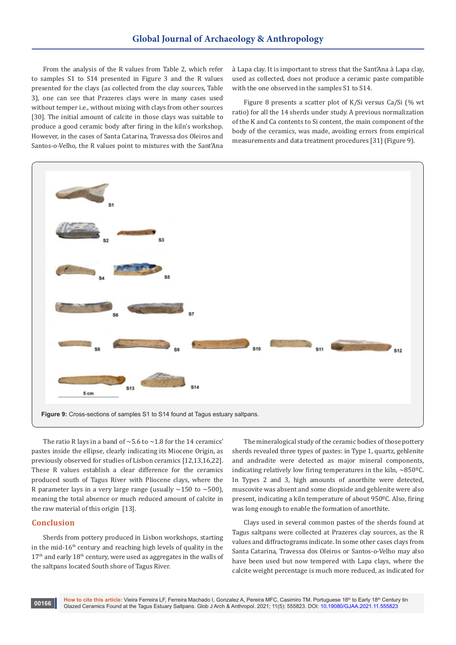From the analysis of the R values from Table 2, which refer to samples S1 to S14 presented in Figure 3 and the R values presented for the clays (as collected from the clay sources, Table 3), one can see that Prazeres clays were in many cases used without temper i.e., without mixing with clays from other sources [30]. The initial amount of calcite in those clays was suitable to produce a good ceramic body after firing in the kiln's workshop. However, in the cases of Santa Catarina, Travessa dos Oleiros and Santos-o-Velho, the R values point to mixtures with the Sant'Ana

à Lapa clay. It is important to stress that the Sant'Ana à Lapa clay, used as collected, does not produce a ceramic paste compatible with the one observed in the samples S1 to S14.

Figure 8 presents a scatter plot of K/Si versus Ca/Si (% wt ratio) for all the 14 sherds under study. A previous normalization of the K and Ca contents to Si content, the main component of the body of the ceramics, was made, avoiding errors from empirical measurements and data treatment procedures [31] (Figure 9).



The ratio R lays in a band of  $\sim$  5.6 to  $\sim$  1.8 for the 14 ceramics' pastes inside the ellipse, clearly indicating its Miocene Origin, as previously observed for studies of Lisbon ceramics [12,13,16,22]. These R values establish a clear difference for the ceramics produced south of Tagus River with Pliocene clays, where the R parameter lays in a very large range (usually  $\sim$ 150 to  $\sim$ 500), meaning the total absence or much reduced amount of calcite in the raw material of this origin [13].

# **Conclusion**

Sherds from pottery produced in Lisbon workshops, starting in the mid- $16<sup>th</sup>$  century and reaching high levels of quality in the  $17<sup>th</sup>$  and early  $18<sup>th</sup>$  century, were used as aggregates in the walls of the saltpans located South shore of Tagus River.

The mineralogical study of the ceramic bodies of those pottery sherds revealed three types of pastes: in Type 1, quartz, gehlenite and andradite were detected as major mineral components, indicating relatively low firing temperatures in the kiln,  $\sim$ 850 $^{\circ}$ C. In Types 2 and 3, high amounts of anorthite were detected, muscovite was absent and some diopside and gehlenite were also present, indicating a kiln temperature of about 950ºC. Also, firing was long enough to enable the formation of anorthite.

Clays used in several common pastes of the sherds found at Tagus saltpans were collected at Prazeres clay sources, as the R values and diffractograms indicate. In some other cases clays from Santa Catarina, Travessa dos Oleiros or Santos-o-Velho may also have been used but now tempered with Lapa clays, where the calcite weight percentage is much more reduced, as indicated for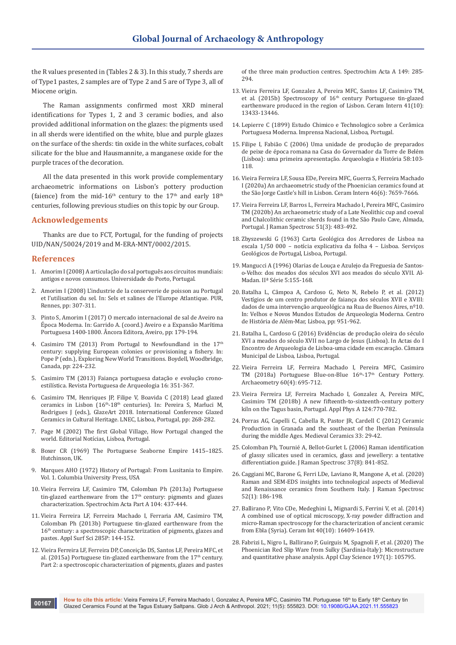the R values presented in (Tables 2 & 3). In this study, 7 sherds are of Type1 pastes, 2 samples are of Type 2 and 5 are of Type 3, all of Miocene origin.

The Raman assignments confirmed most XRD mineral identifications for Types 1, 2 and 3 ceramic bodies, and also provided additional information on the glazes: the pigments used in all sherds were identified on the white, blue and purple glazes on the surface of the sherds: tin oxide in the white surfaces, cobalt silicate for the blue and Hausmannite, a manganese oxide for the purple traces of the decoration.

All the data presented in this work provide complementary archaeometric informations on Lisbon's pottery production (faience) from the mid-16<sup>th</sup> century to the 17<sup>th</sup> and early 18<sup>th</sup> centuries, following previous studies on this topic by our Group.

## **Acknowledgements**

Thanks are due to FCT, Portugal, for the funding of projects UID/NAN/50024/2019 and M-ERA-MNT/0002/2015.

## **References**

**00167**

- 1. Amorim I (2008) A articulação do sal português aos circuitos mundiais: antigos e novos consumos. Universidade do Porto, Portugal.
- 2. Amorim I (2008) L'industrie de la conserverie de poisson au Portugal et l'utilisation du sel. In: Sels et salines de l'Europe Atlantique. PUR, Rennes, pp: 307-311.
- 3. Pinto S, Amorim I (2017) O mercado internacional de sal de Aveiro na Época Moderna. In: Garrido A. (coord.) Aveiro e a Expansão Marítima Portuguesa 1400-1800. Âncora Editora, Aveiro, pp: 179-194.
- 4. Casimiro TM (2013) From Portugal to Newfoundland in the  $17<sup>th</sup>$ century: supplying European colonies or provisioning a fishery. In: Pope P (edn.), Exploring New World Transitions. Boydell, Woodbridge, Canada, pp: 224-232.
- 5. Casimiro TM (2013) Faiança portuguesa datação e evolução cronoestilística. Revista Portuguesa de Arqueologia 16: 351-367.
- 6. Casimiro TM, Henriques JP, Filipe V, Boavida C (2018) Lead glazed ceramics in Lisbon (16th-18th centuries). In: Pereira S, Marluci M, Rodrigues J (eds.), GlazeArt 2018. International Conference Glazed Ceramics in Cultural Heritage. LNEC, Lisboa, Portugal, pp: 268-282.
- 7. Page M (2002) The first Global Village, How Portugal changed the world. Editorial Notícias, Lisboa, Portugal.
- 8. Boxer CR (1969) The Portuguese Seaborne Empire 1415–1825. Hutchinson, UK.
- 9. Marques AHO (1972) History of Portugal: From Lusitania to Empire. Vol. 1. Columbia University Press, USA
- 10. [Vieira Ferreira LF, Casimiro TM, Colomban Ph \(2013a\) Portuguese](https://www.sciencedirect.com/science/article/abs/pii/S1386142512011651?via%3Dihub)  tin-glazed earthenware from the  $17<sup>th</sup>$  century: pigments and glazes [characterization. Spectrochim Acta Part A 104: 437-444.](https://www.sciencedirect.com/science/article/abs/pii/S1386142512011651?via%3Dihub)
- 11. [Vieira Ferreira LF, Ferreira Machado I, Ferraria AM, Casimiro TM,](https://www.sciencedirect.com/science/article/abs/pii/S0169433213015043?via%3Dihub)  [Colomban Ph \(2013b\) Portuguese tin-glazed earthenware from the](https://www.sciencedirect.com/science/article/abs/pii/S0169433213015043?via%3Dihub)  16<sup>th</sup> century: a spectroscopic characterization of pigments, glazes and [pastes. Appl Surf Sci 285P: 144-152.](https://www.sciencedirect.com/science/article/abs/pii/S0169433213015043?via%3Dihub)
- 12. [Vieira Ferreira LF, Ferreira DP, Conceição DS, Santos LF, Pereira MFC, et](https://www.sciencedirect.com/science/article/abs/pii/S1386142515005624?via%3Dihub)  al. (2015a) Portuguese tin-glazed earthenware from the 17<sup>th</sup> century. [Part 2: a spectroscopic characterization of pigments, glazes and pastes](https://www.sciencedirect.com/science/article/abs/pii/S1386142515005624?via%3Dihub)

[of the three main production centres. Spectrochim Acta A 149: 285-](https://www.sciencedirect.com/science/article/abs/pii/S1386142515005624?via%3Dihub) [294.](https://www.sciencedirect.com/science/article/abs/pii/S1386142515005624?via%3Dihub)

- 13. [Vieira Ferreira LF, Gonzalez A, Pereira MFC, Santos LF, Casimiro TM,](https://www.sciencedirect.com/science/article/pii/S0272884215014224?via%3Dihub)  et al. (2015b) Spectroscopy of  $16<sup>th</sup>$  century Portuguese tin-glazed [earthenware produced in the region of Lisbon. Ceram Intern 41\(10\):](https://www.sciencedirect.com/science/article/pii/S0272884215014224?via%3Dihub)  [13433-13446.](https://www.sciencedirect.com/science/article/pii/S0272884215014224?via%3Dihub)
- 14. Lepierre C (1899) Estudo Chimico e Technologico sobre a Cerâmica Portuguesa Moderna. Imprensa Nacional, Lisboa, Portugal.
- 15. Filipe I, Fabião C (2006) Uma unidade de produção de preparados de peixe de época romana na Casa do Governador da Torre de Belém (Lisboa): uma primeira apresentação. Arqueologia e História 58:103- 118.
- 16. [Vieira Ferreira LF, Sousa EDe, Pereira MFC, Guerra S, Ferreira Machado](https://www.sciencedirect.com/science/article/pii/S0272884219334601?via%3Dihub)  [I \(2020a\) An archaeometric study of the Phoenician ceramics found at](https://www.sciencedirect.com/science/article/pii/S0272884219334601?via%3Dihub)  [the São Jorge Castle's hill in Lisbon. Ceram Intern 46\(6\): 7659-7666.](https://www.sciencedirect.com/science/article/pii/S0272884219334601?via%3Dihub)
- 17. [Vieira Ferreira LF, Barros L, Ferreira Machado I, Pereira MFC, Casimiro](https://analyticalsciencejournals.onlinelibrary.wiley.com/doi/abs/10.1002/jrs.5802)  [TM \(2020b\) An archaeometric study of a Late Neolithic cup and coeval](https://analyticalsciencejournals.onlinelibrary.wiley.com/doi/abs/10.1002/jrs.5802)  [and Chalcolithic ceramic sherds found in the São Paulo Cave, Almada,](https://analyticalsciencejournals.onlinelibrary.wiley.com/doi/abs/10.1002/jrs.5802)  [Portugal. J Raman Spectrosc 51\(3\): 483-492.](https://analyticalsciencejournals.onlinelibrary.wiley.com/doi/abs/10.1002/jrs.5802)
- 18. Zbyszewski G (1963) Carta Geológica dos Arredores de Lisboa na escala 1/50 000 – notícia explicativa da folha 4 – Lisboa. Serviços Geológicos de Portugal, Lisboa, Portugal.
- 19. Mangucci A (1996) Olarias de Louça e Azulejo da Freguesia de Santoso-Velho: dos meados dos séculos XVI aos meados do século XVII. Al-Madan. IIª Série 5:155-168.
- 20. Batalha L, Câmpoa A, Cardoso G, Neto N, Rebelo P, et al. (2012) Vestígios de um centro produtor de faiança dos séculos XVII e XVIII: dados de uma intervenção arqueológica na Rua de Buenos Aires, nº10. In: Velhos e Novos Mundos Estudos de Arqueologia Moderna. Centro de História de Além-Mar, Lisboa, pp: 951-962.
- 21. Batalha L, Cardoso G (2016) Evidências de produção oleira do século XVI a meados do século XVII no Largo de Jesus (Lisboa). In Actas do I Encontro de Arqueologia de Lisboa-uma cidade em escavação. Câmara Municipal de Lisboa, Lisboa, Portugal.
- 22. [Vieira Ferreira LF, Ferreira Machado I, Pereira MFC, Casimiro](https://onlinelibrary.wiley.com/doi/abs/10.1111/arcm.12336)  [TM \(2018a\) Portuguese Blue-on-Blue 16](https://onlinelibrary.wiley.com/doi/abs/10.1111/arcm.12336)<sup>th</sup>-17<sup>th</sup> Century Pottery. [Archaeometry 60\(4\): 695-712.](https://onlinelibrary.wiley.com/doi/abs/10.1111/arcm.12336)
- 23. [Vieira Ferreira LF, Ferreira Machado I, Gonzalez A, Pereira MFC,](https://link.springer.com/article/10.1007%2Fs00339-018-2197-x)  [Casimiro TM \(2018b\) A new fifteenth-to-sixteenth-century pottery](https://link.springer.com/article/10.1007%2Fs00339-018-2197-x)  [kiln on the Tagus basin, Portugal. Appl Phys A 124:770-782.](https://link.springer.com/article/10.1007%2Fs00339-018-2197-x)
- 24. Porras AG, Capelli C, Cabella R, Pastor JR, Cardell C (2012) Ceramic Production in Granada and the southeast of the Iberian Peninsula during the middle Ages. Medieval Ceramics 33: 29-42.
- 25. [Colomban Ph, Tournié A, Bellot-Gurlet L \(2006\) Raman identification](https://analyticalsciencejournals.onlinelibrary.wiley.com/doi/abs/10.1002/jrs.1515)  [of glassy silicates used in ceramics, glass and jewellery: a tentative](https://analyticalsciencejournals.onlinelibrary.wiley.com/doi/abs/10.1002/jrs.1515)  [differentiation guide. J Raman Spectrosc 37\(8\): 841-852.](https://analyticalsciencejournals.onlinelibrary.wiley.com/doi/abs/10.1002/jrs.1515)
- 26. [Caggiani MC, Barone G, Ferri LDe, Laviano R, Mangone A, et al. \(2020\)](https://analyticalsciencejournals.onlinelibrary.wiley.com/doi/10.1002/jrs.5884)  [Raman and SEM-EDS insights into technological aspects of Medieval](https://analyticalsciencejournals.onlinelibrary.wiley.com/doi/10.1002/jrs.5884)  [and Renaissance ceramics from Southern Italy. J Raman Spectrosc](https://analyticalsciencejournals.onlinelibrary.wiley.com/doi/10.1002/jrs.5884)  [52\(1\): 186-198.](https://analyticalsciencejournals.onlinelibrary.wiley.com/doi/10.1002/jrs.5884)
- 27. [Ballirano P, Vito CDe, Medeghini L, Mignardi S, Ferrini V, et al. \(2014\)](https://www.sciencedirect.com/science/article/pii/S0272884214012280?via%3Dihub)  [A combined use of optical microscopy, X-ray powder diffraction and](https://www.sciencedirect.com/science/article/pii/S0272884214012280?via%3Dihub)  [micro-Raman spectroscopy for the characterization of ancient ceramic](https://www.sciencedirect.com/science/article/pii/S0272884214012280?via%3Dihub)  [from Ebla \(Syria\). Ceram Int 40\(10\): 16409-16419.](https://www.sciencedirect.com/science/article/pii/S0272884214012280?via%3Dihub)
- 28. [Fabrizi L, Nigro L, Ballirano P, Guirguis M, Spagnoli F, et al. \(2020\) The](https://www.sciencedirect.com/science/article/abs/pii/S0169131720303604)  [Phoenician Red Slip Ware from Sulky \(Sardinia-Italy\): Microstructure](https://www.sciencedirect.com/science/article/abs/pii/S0169131720303604)  [and quantitative phase analysis. Appl Clay Science 197\(1\): 105795.](https://www.sciencedirect.com/science/article/abs/pii/S0169131720303604)